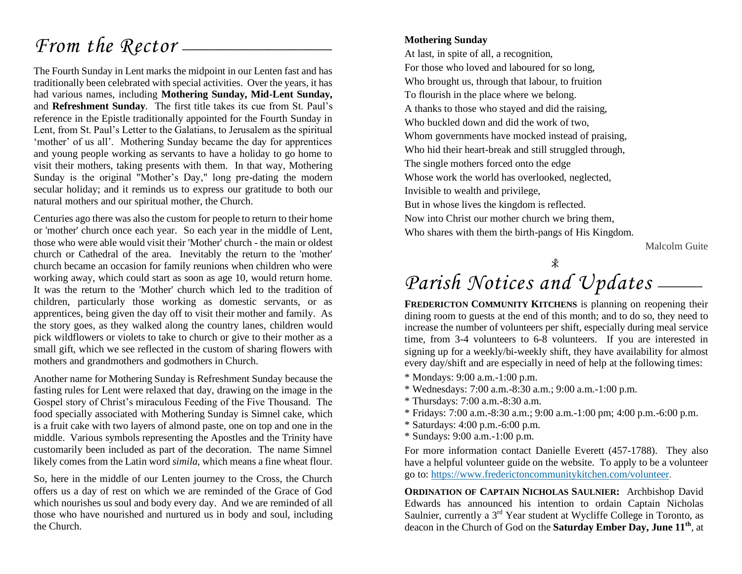## *From the Rector* --

The Fourth Sunday in Lent marks the midpoint in our Lenten fast and has traditionally been celebrated with special activities. Over the years, it has had various names, including **Mothering Sunday, Mid-Lent Sunday,** and **Refreshment Sunday**. The first title takes its cue from St. Paul's reference in the Epistle traditionally appointed for the Fourth Sunday in Lent, from St. Paul's Letter to the Galatians, to Jerusalem as the spiritual 'mother' of us all'. Mothering Sunday became the day for apprentices and young people working as servants to have a holiday to go home to visit their mothers, taking presents with them. In that way, Mothering Sunday is the original "Mother's Day," long pre-dating the modern secular holiday; and it reminds us to express our gratitude to both our natural mothers and our spiritual mother, the Church.

Centuries ago there was also the custom for people to return to their home or 'mother' church once each year. So each year in the middle of Lent, those who were able would visit their 'Mother' church - the main or oldest church or Cathedral of the area. Inevitably the return to the 'mother' church became an occasion for family reunions when children who were working away, which could start as soon as age 10, would return home. It was the return to the 'Mother' church which led to the tradition of children, particularly those working as domestic servants, or as apprentices, being given the day off to visit their mother and family. As the story goes, as they walked along the country lanes, children would pick wildflowers or violets to take to church or give to their mother as a small gift, which we see reflected in the custom of sharing flowers with mothers and grandmothers and godmothers in Church.

Another name for Mothering Sunday is Refreshment Sunday because the fasting rules for Lent were relaxed that day, drawing on the image in the Gospel story of Christ's miraculous Feeding of the Five Thousand. The food specially associated with Mothering Sunday is Simnel cake, which is a fruit cake with two layers of almond paste, one on top and one in the middle. Various symbols representing the Apostles and the Trinity have customarily been included as part of the decoration. The name Simnel likely comes from the Latin word *simila,* which means a fine wheat flour.

So, here in the middle of our Lenten journey to the Cross, the Church offers us a day of rest on which we are reminded of the Grace of God which nourishes us soul and body every day. And we are reminded of all those who have nourished and nurtured us in body and soul, including the Church.

#### **Mothering Sunday**

At last, in spite of all, a recognition, For those who loved and laboured for so long, Who brought us, through that labour, to fruition To flourish in the place where we belong. A thanks to those who stayed and did the raising, Who buckled down and did the work of two, Whom governments have mocked instead of praising, Who hid their heart-break and still struggled through, The single mothers forced onto the edge Whose work the world has overlooked, neglected, Invisible to wealth and privilege, But in whose lives the kingdom is reflected. Now into Christ our mother church we bring them, Who shares with them the birth-pangs of His Kingdom.

Malcolm Guite

**x** 

## Parish Notices and Updates -

**FREDERICTON COMMUNITY KITCHENS** is planning on reopening their dining room to guests at the end of this month; and to do so, they need to increase the number of volunteers per shift, especially during meal service time, from 3-4 volunteers to 6-8 volunteers. If you are interested in signing up for a weekly/bi-weekly shift, they have availability for almost every day/shift and are especially in need of help at the following times:

- \* Mondays: 9:00 a.m.-1:00 p.m.
- \* Wednesdays: 7:00 a.m.-8:30 a.m.; 9:00 a.m.-1:00 p.m.
- \* Thursdays: 7:00 a.m.-8:30 a.m.
- \* Fridays: 7:00 a.m.-8:30 a.m.; 9:00 a.m.-1:00 pm; 4:00 p.m.-6:00 p.m.
- \* Saturdays: 4:00 p.m.-6:00 p.m.
- \* Sundays: 9:00 a.m.-1:00 p.m.

For more information contact Danielle Everett (457-1788). They also have a helpful volunteer guide on the website. To apply to be a volunteer go to: [https://www.frederictoncommunitykitchen.com/volunteer.](https://www.frederictoncommunitykitchen.com/volunteer)

**ORDINATION OF CAPTAIN NICHOLAS SAULNIER:** Archbishop David Edwards has announced his intention to ordain Captain Nicholas Saulnier, currently a 3<sup>rd</sup> Year student at Wycliffe College in Toronto, as deacon in the Church of God on the **Saturday Ember Day, June 11th**, at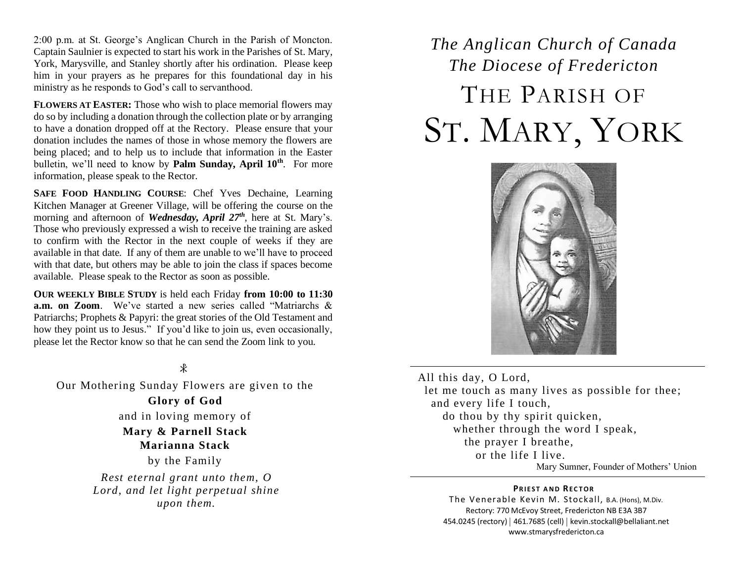2:00 p.m. at St. George's Anglican Church in the Parish of Moncton. Captain Saulnier is expected to start his work in the Parishes of St. Mary, York, Marysville, and Stanley shortly after his ordination. Please keep him in your prayers as he prepares for this foundational day in his ministry as he responds to God's call to servanthood.

**FLOWERS AT EASTER:** Those who wish to place memorial flowers may do so by including a donation through the collection plate or by arranging to have a donation dropped off at the Rectory. Please ensure that your donation includes the names of those in whose memory the flowers are being placed; and to help us to include that information in the Easter bulletin, we'll need to know by **Palm Sunday, April 10th**. For more information, please speak to the Rector.

**SAFE FOOD HANDLING COURSE**: Chef Yves Dechaine, Learning Kitchen Manager at Greener Village, will be offering the course on the morning and afternoon of *Wednesday, April 27th*, here at St. Mary's. Those who previously expressed a wish to receive the training are asked to confirm with the Rector in the next couple of weeks if they are available in that date. If any of them are unable to we'll have to proceed with that date, but others may be able to join the class if spaces become available. Please speak to the Rector as soon as possible.

**OUR WEEKLY BIBLE STUDY** is held each Friday **from 10:00 to 11:30 a.m. on Zoom**. We've started a new series called "Matriarchs & Patriarchs; Prophets & Papyri: the great stories of the Old Testament and how they point us to Jesus." If you'd like to join us, even occasionally, please let the Rector know so that he can send the Zoom link to you.

#### $\ast$

Our Mothering Sunday Flowers are given to the **Glory of God** and in loving memory of **Mary & Parnell Stack Marianna Stack** by the Family *Rest eternal grant unto them, O Lord, and let light perpetual shine upon them.*

## *The Anglican Church of Canada The Diocese of Fredericton* THE PARISH OF ST. MARY, YORK



All this day, O Lord, let me touch as many lives as possible for thee; and every life I touch, do thou by thy spirit quicken, whether through the word I speak, the prayer I breathe, or the life I live. Mary Sumner, Founder of Mothers' Union

#### **PRIEST AND RECTOR**

The Venerable Kevin M. Stockall, B.A. (Hons), M.Div. Rectory: 770 McEvoy Street, Fredericton NB E3A 3B7 454.0245 (rectory) | 461.7685 (cell) | kevin.stockall@bellaliant.net www.stmarysfredericton.ca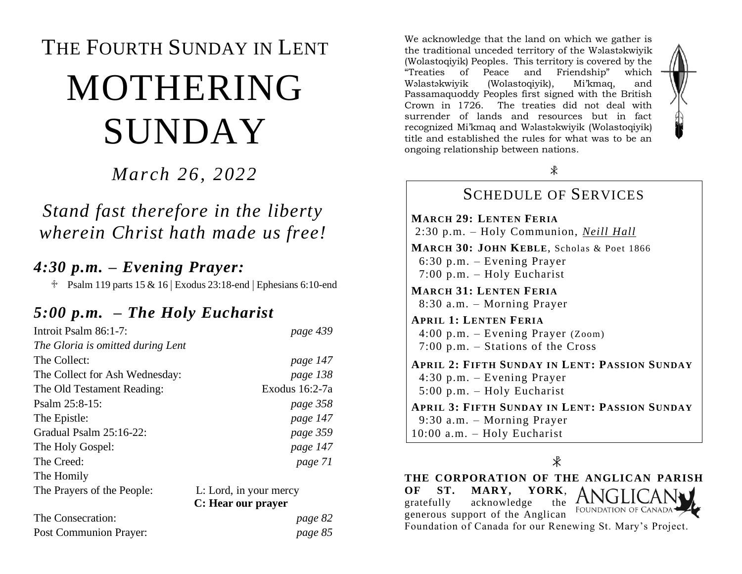# THE FOURTH SUNDAY IN LENT MOTHERING SUNDAY

#### *March 26, 2022*

### *Stand fast therefore in the liberty wherein Christ hath made us free!*

#### *4:30 p.m. – Evening Prayer:*

 $\text{\textdegree}$  Psalm 119 parts 15 & 16 | Exodus 23:18-end | Ephesians 6:10-end

### *5:00 p.m. – The Holy Eucharist*

| Introit Psalm 86:1-7:             | page 439               |
|-----------------------------------|------------------------|
| The Gloria is omitted during Lent |                        |
| The Collect:                      | page 147               |
| The Collect for Ash Wednesday:    | page 138               |
| The Old Testament Reading:        | Exodus 16:2-7a         |
| Psalm $25:8-15$ :                 | page 358               |
| The Epistle:                      | page 147               |
| Gradual Psalm $25:16-22$ :        | page 359               |
| The Holy Gospel:                  | page 147               |
| The Creed:                        | page 71                |
| The Homily                        |                        |
| The Prayers of the People:        | L: Lord, in your mercy |
|                                   | C: Hear our prayer     |
| The Consecration:                 | page 82                |
| Post Communion Prayer:            | page 85                |

We acknowledge that the land on which we gather is the traditional unceded territory of the Wəlastəkwiyik (Wolastoqiyik) Peoples. This territory is covered by the "Treaties of Peace and Friendship" which Wəlastəkwiyik (Wolastoqiyik), Mi'kmaq, and Passamaquoddy Peoples first signed with the British Crown in 1726. The treaties did not deal with surrender of lands and resources but in fact recognized Mi'kmaq and Wəlastəkwiyik (Wolastoqiyik) title and established the rules for what was to be an ongoing relationship between nations.



#### SCHEDULE OF SERVICES **MARCH 29: LENTEN FERIA** 2:30 p.m. – Holy Communion, *Neill Hall* **MARCH 30: JOHN KEBLE**, Scholas & Poet 1866 6:30 p.m. – Evening Prayer 7:00 p.m. – Holy Eucharist **MARCH 31: LENTEN FERIA** 8:30 a.m. – Morning Prayer **APRIL 1: LENTEN FERIA** 4:00 p.m. – Evening Prayer (Zoom) 7:00 p.m. – Stations of the Cross **APRIL 2: FIFTH SUNDAY IN LENT: PASSION SUNDAY** 4:30 p.m. – Evening Prayer 5:00 p.m. – Holy Eucharist **APRIL 3: FIFTH SUNDAY IN LENT: PASSION SUNDAY** 9:30 a.m. – Morning Prayer 10:00 a.m. – Holy Eucharist

∦

**THE CORPORATION OF THE ANGLICAN PARISH OF ST. MARY, YORK**, gratefully acknowledge the FOUNDATION OF CANADA<sup>.</sup> generous support of the Anglican Foundation of Canada for our Renewing St. Mary's Project.